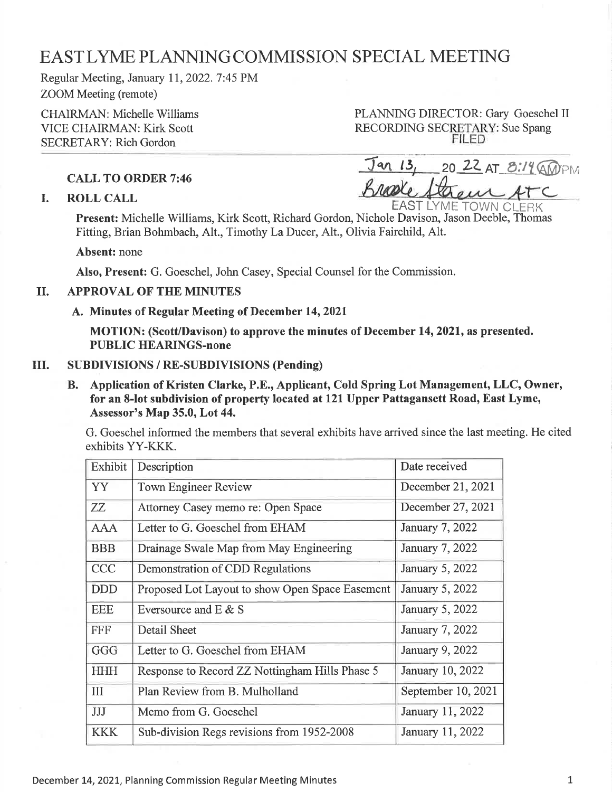### EAST LYME PLANNING COMMIS SION SPECIAL MEETING

Regular Meeting, January 11,2022.7:45 PM ZOOM Meeting (remote)

CHAIRMAN: Michelle Williams VICE CHAIRMAN: Kirk Scott SECRETARY: Rich Gordon

PLANNING DIRECTOR: Gary Goeschel II RECORDING SECRETARY: Sue Spans FILED-

CALL TO ORDER 7:46

 $\pi$  13, 20 22 AT 8:14 AMPM I. ROLL CALL AND CONTROLLED BROOKE Staten ATC

EAST LYME TOWN CLERK Present: Michelle Williams, Kirk Scott, Richard Gordon, Nichole Davison, Jason Deeble, Thomas Fitting, Brian Bohmbach, Alt., Timothy La Ducer, Alt., Olivia Fairchild, Alt.

Absent: none

Also, Present: G. Goeschel, John Casey, Special Counsel for the Commission.

### il. APPROVAL OF THE MINUTES

#### A. Minutes of Regular Meeting of December 14, 2021

MOTION: (Scott/Davison) to approve the minutes of December 14, 2021, as presented. PUBLIC HEARINGS-none

### III. SUBDIVISIONS / RE-SUBDIVISIONS (Pending)

B. Application of Kristen Clarke, P.E., Applicant, Cold Spring Lot Management, LLC, Owner, for an 8-lot subdivision of property located at 121 Upper Pattagansett Road, East Lyme, Assessor's Map 35.0, Lot 44.

G. Goeschel informed the members that several exhibits have arrived since the last meeting. He cited exhibits YY-KKK.

| Exhibit    | Description                                     | Date received          |
|------------|-------------------------------------------------|------------------------|
| YY         | <b>Town Engineer Review</b>                     | December 21, 2021      |
| ZZ         | Attorney Casey memo re: Open Space              | December 27, 2021      |
| <b>AAA</b> | Letter to G. Goeschel from EHAM                 | <b>January 7, 2022</b> |
| <b>BBB</b> | Drainage Swale Map from May Engineering         | <b>January 7, 2022</b> |
| <b>CCC</b> | Demonstration of CDD Regulations                | January 5, 2022        |
| <b>DDD</b> | Proposed Lot Layout to show Open Space Easement | <b>January 5, 2022</b> |
| <b>EEE</b> | Eversource and $E \& S$                         | <b>January 5, 2022</b> |
| <b>FFF</b> | <b>Detail Sheet</b>                             | <b>January 7, 2022</b> |
| GGG        | Letter to G. Goeschel from EHAM                 | January 9, 2022        |
| <b>HHH</b> | Response to Record ZZ Nottingham Hills Phase 5  | January 10, 2022       |
| III        | Plan Review from B. Mulholland                  | September 10, 2021     |
| JJJ        | Memo from G. Goeschel                           | January 11, 2022       |
| <b>KKK</b> | Sub-division Regs revisions from 1952-2008      | January 11, 2022       |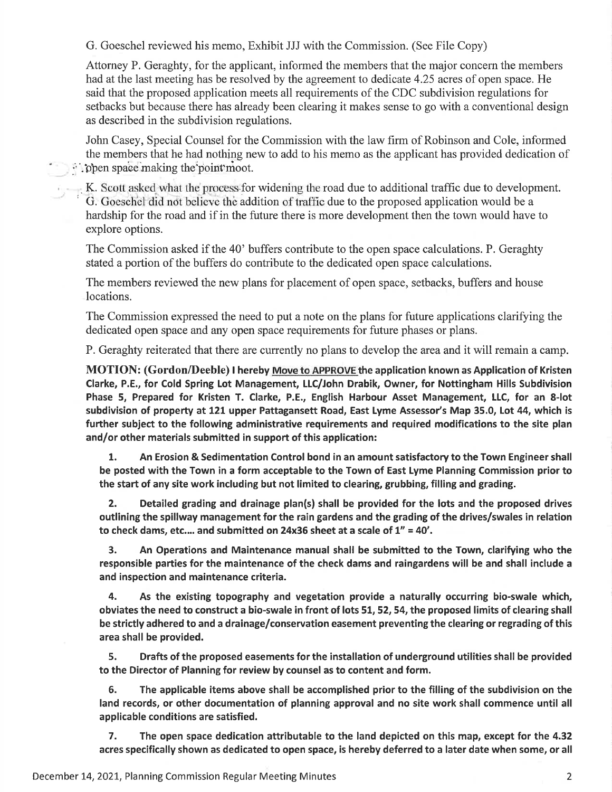G. Goeschel reviewed his memo, Exhibit JJJ with the Commission. (See File Copy)

Attorney P. Geraghty, for the applicant, informed the members that the major concern the members had at the last meeting has be resolved by the agreement to dedicate 4.25 acres of open space. He said that the proposed application meets all requirements of the CDC subdivision regulations for setbacks but because there has already been clearing it makes sense to go with a conventional design as described in the subdivision regulations.

John Casey, Special Counsel for the Commission with the law firm of Robinson and Cole, informed the members that he had nothing new to add to his memo as the applicant has provided dedication of : "be the space making the point moot."

K. Scott asked what the process for widening the road due to additional traffic due to development. G. Goeschel did not believe the addition of traffic due to the proposed application would be a hardship for the road and if in the future there is more development then the town would have to explore options.

The Commission asked if the 40' buffers contribute to the open space calculations. P. Geraghty stated a portion of the buffers do contribute to the dedicated open space calculations.

The members reviewed the new plans for placement of open space, setbacks, buffers and house locations.

The Commission expressed the need to put a note on the plans for future applications clarifying the dedicated open space and any open space requirements for future phases or plans.

P. Geraghty reiterated that there are currently no plans to develop the area and it will remain a camp.

MOTION: (Gordon/Deeble) I hereby Move to APPROVE the application known as Application of Kristen Clarke, P.E., for Cold Spring Lot Management, LLC/John Drabik, Owner, for Nottingham Hills Subdivision Phase 5, Prepared for Kristen T. Clarke, P.E., English Harbour Asset Management, LLC, for an 8-lot subdivision of property at 121 upper Pattagansett Road, East Lyme Assessor's Map 35.0, Lot 44, which is further subject to the following administrative requirements and required modifications to the site plan and/or other materials submitted in support of this application:

1. An Erosion & Sedimentation Control bond in an amount satisfactory to the Town Engineer shall be posted with the Town in a form acceptable to the Town of East Lyme Planning Commission prior to the start of any site work including but not limited to clearing, grubbing, filling and grading.

2. Detailed grading and drainage plan(s) shall be provided for the lots and the proposed drives outlining the spillway management for the rain gardens and the grading of the drives/swales in relation to check dams, etc.... and submitted on 24x36 sheet at a scale of  $1'' = 40'$ .

3. An Operations and Maintenance manual shall be submitted to the Town, clarifying who the responsible parties for the maintenance of the check dams and raingardens will be and shall include a and inspection and maintenance criteria.

4. As the existing topography and vegetation provide a naturally occurring bio-swale which, obviates the need to construct a bio-swale in front of lots 5L,52,54, the proposed limits of clearing shall be strictly adhered to and a drainage/conservation easement preventing the clearing or regrading of this area shall be provided.

5. Drafts of the proposed easements for the installation of underground utilities shall be provided to the Director of Planning for review by counsel as to content and form.

6. The applicable items above shall be accomplished prior to the filling of the subdivision on the land records, or other documentation of planning approval and no site work shall commence until all applicable conditions are satisfied.

7. The open space dedication attributable to the land depicted on this map, except for the 4.32 acres specifically shown as dedicated to open space, is hereby deferred to a later date when some, or all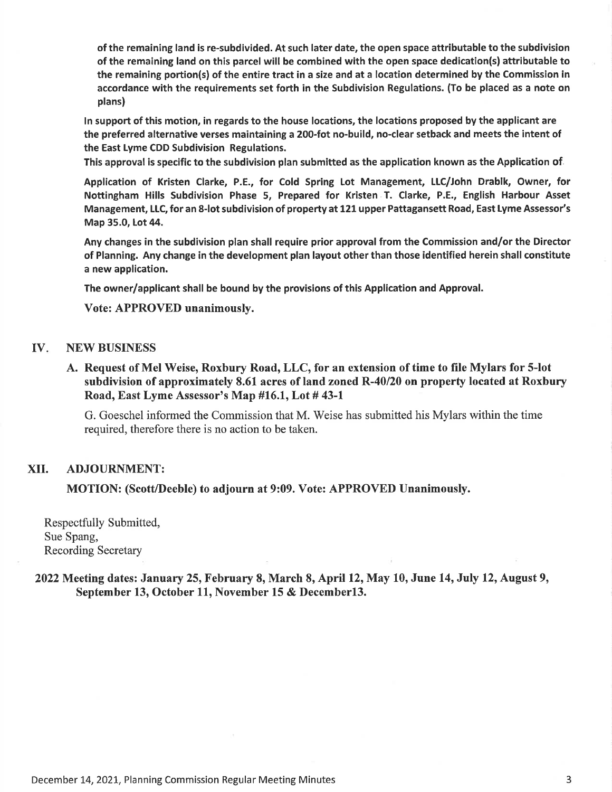of the remaining land is re-subdivided. At such later date, the open space attributable to the subdivision of the remaining land on this parcel will be combined with the open space dedication(s) attributable to the remaining portion(s) of the entire tract in a size and at a location determined by the Commission in accordance with the requirements set forth in the Subdivision Regulations. (To be placed as a note on plans)

ln support of this motion, in regards to the house locations, the locations proposed by the applicant are the preferred alternative verses maintaining a 200-fot no-build, no-clear setback and meets the intent of the East Lyme CDD Subdivision Regulations.

This approval is specific to the subdivision plan submitted as the application known as the Application of

Application of Kristen Clarke, P.E., for Cold Spring Lot Management, LtC/John Drablk, Owner, for Nottingham Hills Subdivision Phase 5, Prepared for Kristen T. Clarke, P.E., English Harbour Asset Management, LLC, for an 8-lot subdivision of property at 121 upper Pattagansett Road, East Lyme Assessor's Map 35.0, Lot 44.

Any changes in the subdivision plan shall require prior approval from the Commission and/or the Director of Planning. Any change in the development plan layout other than those identified herein shall constitute a new application.

The owner/applicant shall be bound by the provisions of this Application and Approval.

Vote: APPROVED unanimously.

#### IV. NEW BUSINESS

### A. Request of Mel Weise, Roxbury Road, LLC, for an extension of time to file Mylars for 5-lot subdivision of approximately 8.61 acres of land zoned R-40/20 on property located at Roxbury Road, East Lyme Assessor's Map #16.1, Lot # 43-1

G. Goeschel informed the Commission that M. Weise has submitted his Mylars within the time required, therefore there is no action to be taken.

#### Xil. ADJOURNMENT:

#### MOTION: (Scott/Deeble) to adjourn at 9:09. Vote: APPROVED Unanimously.

Respectfully Submitted, Sue Spang, Recording Secretary

#### 2022 Meeting dates: January 25, February 8, March 8, April 12, May 10, June 14, July 12, August 9, September 13, October 11, November 15 & December 13.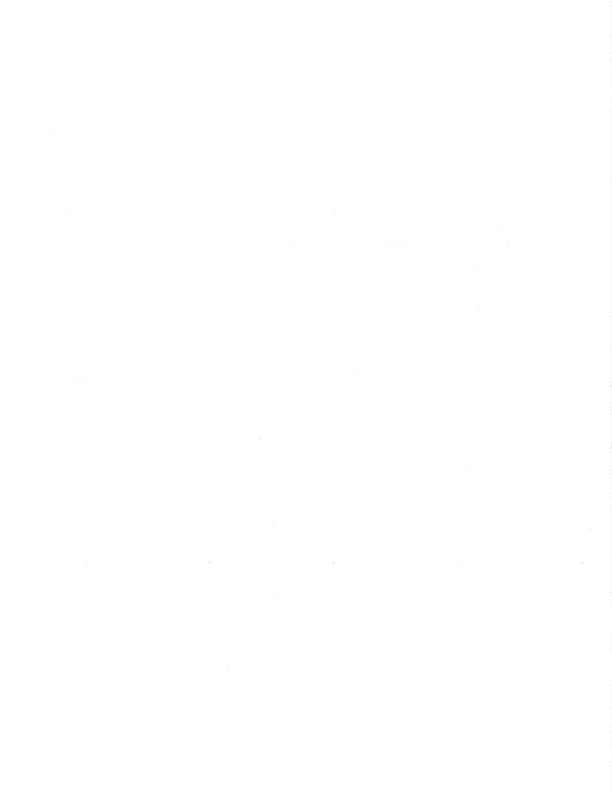$\frac{1}{2} \left( \frac{1}{2} \right)^{\frac{1}{2}} \left( \frac{1}{2} \right)^{\frac{1}{2}} \left( \frac{1}{2} \right)^{\frac{1}{2}} \left( \frac{1}{2} \right)^{\frac{1}{2}} \left( \frac{1}{2} \right)^{\frac{1}{2}} \left( \frac{1}{2} \right)^{\frac{1}{2}} \left( \frac{1}{2} \right)^{\frac{1}{2}} \left( \frac{1}{2} \right)^{\frac{1}{2}} \left( \frac{1}{2} \right)^{\frac{1}{2}} \left( \frac{1}{2} \right)^{\frac{1}{2}} \left( \frac{1}{2} \right)^$ 

 $\mathcal{A}^{\mathcal{A}}$  and  $\mathcal{A}^{\mathcal{A}}$  are  $\mathcal{A}^{\mathcal{A}}$  . In the contribution of  $\mathcal{A}^{\mathcal{A}}$  $\sim$  10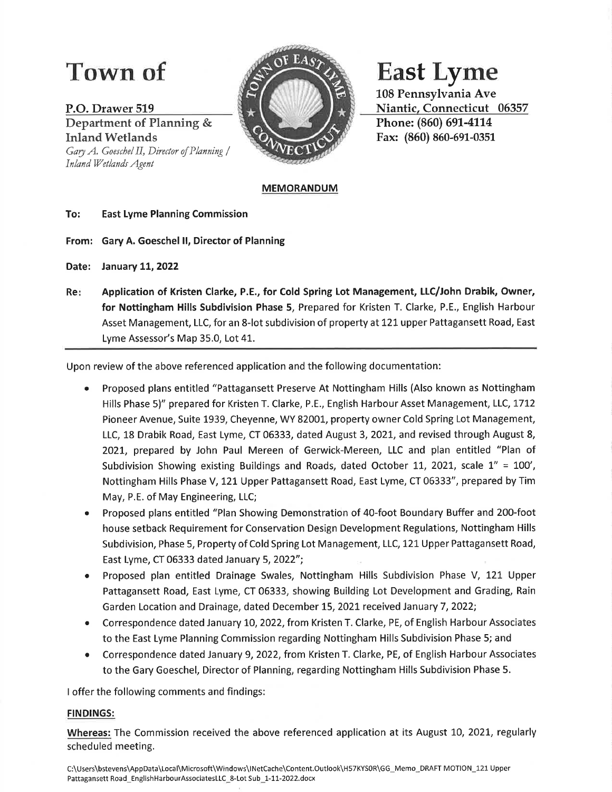# Town of

P.O. Drawer 519 Department of Planning & Inland Wetlands

Gary A. Goeschel II, Director of Planning / Inland Wetlands Agent



# East Lyme

108 Pennsylvania Ave Niantic, Connecticut 06357 Phone: (860) 691-4114 Fax: (860) 860-691-0351

#### MEMORANDUM

- To: East Lyme Planning Commission
- From: Gary A. Goeschel ll, Director of Planning
- Date: January 11, 2022
- Re: Application of Kristen Clarke, P.E., for Cold Spring Lot Management, LLC/John Drabik, Owner, for Nottingham Hills Subdivision Phase 5, Prepared for Kristen T. Clarke, P.E., English Harbour Asset Management, LLC, for an 8-lot subdivision of property at 121 upper Pattagansett Road, East Lyme Assessor's Map 35.0, Lot 41.

Upon review of the above referenced application and the following documentation:

- Proposed plans entitled "Pattagansett Preserve At Nottingham Hills (Also known as Nottingham Hills Phase 5)" prepared for Kristen T. Clarke, P.E., English Harbour Asset Management, LLC, 1712 Pioneer Avenue, Suite 1939, Cheyenne, WY 8200L, property owner Cold Spring Lot Management, LLC, 18 Drabik Road, East Lyme, CT 06333, dated August 3, 2021, and revised through August 8, 202I, prepared by John Paul Mereen of Gerwick-Mereen, LLC and plan entitled "Plan of Subdivision Showing existing Buildings and Roads, dated October 11, 2021, scale  $1'' = 100'$ , Nottingham Hills Phase V, I2L Upper Pattagansett Road, East Lyme, CT 06333", prepared by Tim May, P.E. of May Engineering, LLC;
- Proposed plans entitled "Plan Showing Demonstration of 40-foot Boundary Buffer and 200-foot house setback Requirement for Conservation Design Development Regulations, Nottingham Hills Subdivision, Phase 5, Property of Cold Spring Lot Management, LLC, 121 Upper Pattagansett Road, East Lyme, CT 06333 dated January 5,2O22";
- Proposed plan entitled Drainage Swales, Nottingham Hills Subdivision Phase V, 121 Upper Pattagansett Road, East Lyme, CT 06333, showing Building Lot Development and Grading, Rain Garden Location and Drainage, dated December 15, 2021 received January 7, 2022;
- . Correspondence dated January LO,2022, from Kristen T. Clarke, PE, of English Harbour Associates to the East Lyme Planning Commission regarding Nottingham Hills Subdivision Phase 5; and
- o Correspondence dated January 9,2022, from Kristen T. Clarke, PE, of English Harbour Associates to the Gary Goeschel, Director of Planning, regarding Nottingham Hills Subdivision Phase 5.

I offer the following comments and findings:

#### FINDINGS:

Whereas: The Commission received the above referenced application at its August 10, 2021, regularly scheduled meeting.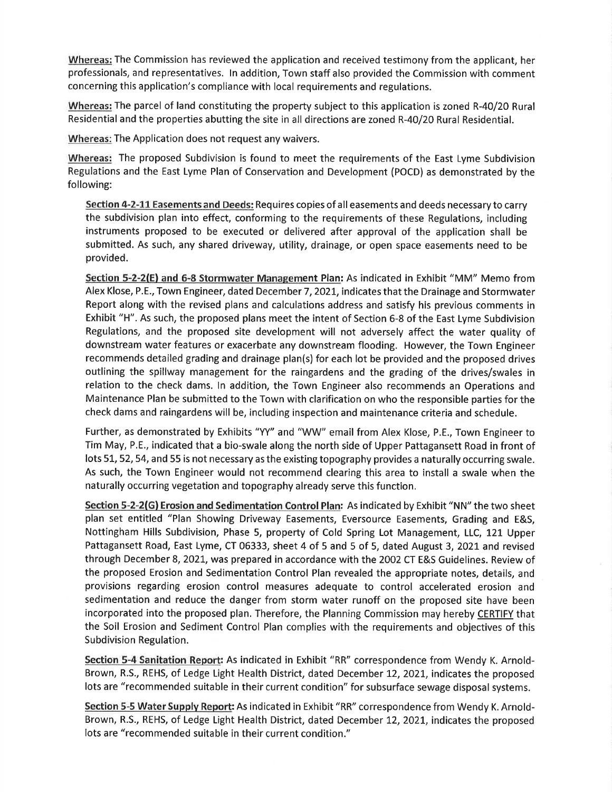Whereas: The Commission has reviewed the application and received testimony from the applicant, her professionals, and representatives. ln addition, Town staff also provided the Commission with comment concerning this application's compliance with local requirements and regulations.

Whereas: The parcel of land constituting the property subject to this application is zoned R-40/20 Rural Residential and the properties abutting the site in all directions are zoned R-40/20 Rural Residential.

Whereas: The Application does not request any waivers.

Whereas: The proposed Subdivision is found to meet the requirements of the East Lyme Subdivision Regulations and the East Lyme Plan of Conservation and Development (POCD) as demonstrated by the following:

Section 4-2-11 Easements and Deeds: Requires copies of all easements and deeds necessary to carry the subdivision plan into effect, conforming to the requirements of these Regulations, including instruments proposed to be executed or delivered after approval of the application shall be submitted. As such, any shared driveway, utility, drainage, or open space easements need to be provided.

Section 5-2-2(E) and 6-8 Stormwater Management Plan: As indicated in Exhibit "MM" Memo from Alex Klose, P.E., Town Engineer, dated December 7 ,2O2I, indicates that the Drainage and Stormwater Report along with the revised plans and calculations address and satisfy his previous comments in Exhibit "H". As such, the proposed plans meet the intent of Section 6-8 of the East Lyme Subdivision Regulations, and the proposed site development will not adversely affect the water quality of downstream water features or exacerbate any downstream flooding. However, the Town Engineer recommends detailed grading and drainage plan(s) for each lot be provided and the proposed drives outlining the spillway management for the raingardens and the grading of the drives/swales in relation to the check dams. ln addition, the Town Engineer also recommends an Operations and Maintenance Plan be submitted to the Town with clarification on who the responsible parties for the check dams and raingardens will be, including inspection and maintenance criteria and schedule.

Further, as demonstrated by Exhibits "YY" and 'WW" email from Alex Klose, P.E., Town Engineer to Tim May, P.E., indicated that a bio-swale along the north side of Upper Pattagansett Road in front of lots 51, 52, 54, and 55 is not necessary as the existing topography provides a naturally occurring swale. As such, the Town Engineer would not recommend clearing this area to install a swale when the naturally occurring vegetation and topography already serve this function.

Section 5-2-2(G) Erosion and Sedimentation Control Plan: As indicated by Exhibit "NN" the two sheet plan set entitled "Plan Showing Driveway Easements, Eversource Easements, Grading and E&S, Nottingham Hills Subdivision, Phase 5, property of Cold Spring Lot Management, LLC, 121 Upper Pattagansett Road, East Lyme, CT 06333, sheet 4 of 5 and 5 of 5, dated August 3, 2021 and revised through December 8,2O2I, was prepared in accordance with the 2002 CT E&S Guidelines. Review of the proposed Erosion and Sedimentation Control Plan revealed the appropriate notes, details, and provisions regarding erosion control measures adequate to control accelerated erosion and sedimentation and reduce the danger from storm water runoff on the proposed site have been incorporated into the proposed plan. Therefore, the Planning Commission may hereby CERTIFY that the Soil Erosion and Sediment Control Plan complies with the requirements and objectives of this Subdivision Regulation.

Section 5-4 Sanitation Report: As indicated in Exhibit "RR" correspondence from Wendy K. Arnold-Brown, R.S., REHS, of Ledge Light Health District, dated December 12, 2021, indicates the proposed lots are "recommended suitable in their current condition" for subsurface sewage disposal systems.

Section 5-5 Water Supply Report: As indicated in Exhibit "RR" correspondence from Wendy K. Arnold-Brown, R.S., REHS, of Ledge Light Health District, dated December 12,2021, indicates the proposed lots are "recommended suitable in their current condition."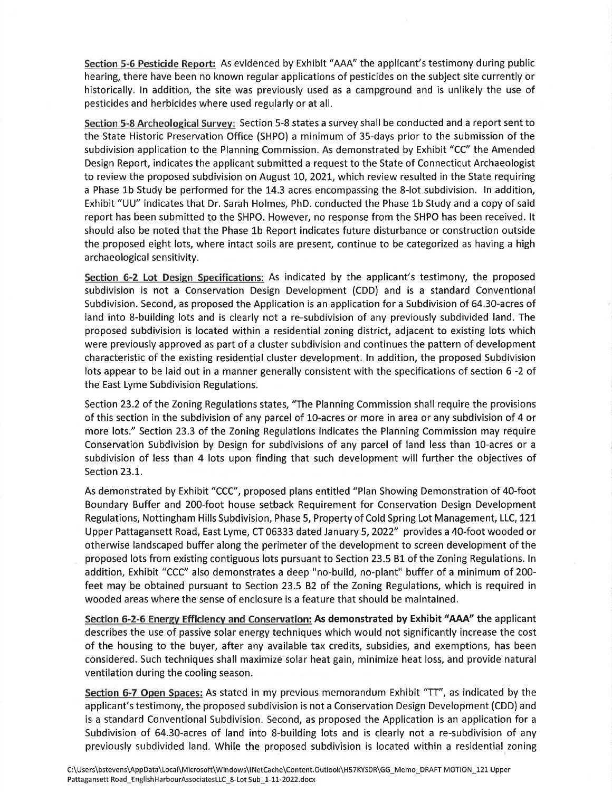Section 5-6 Pesticide Report: As evidenced by Exhibit "AAA" the applicant's testimony during public hearing, there have been no known regular applications of pesticides on the subject site currently or historically. ln addition, the site was previously used as a campground and is unlikely the use of pesticides and herbicides where used regularly or at all.

Section 5-8 Archeological Survey: Section 5-8 states a survey shall be conducted and a report sent to the State Historic Preservation Office (SHPO) a minimum of 35-days prior to the submission of the subdivision application to the Planning Commission. As demonstrated by Exhibit "CC" the Amended Design Report, indicates the applicant submitted a request to the State of Connecticut Archaeologist to review the proposed subdivision on August 10, 2021, which review resulted in the State requiring a Phase Lb Study be performed for the 14.3 acres encompassing the 8-lot subdivision. ln addition, Exhibit "UU" indicates that Dr. Sarah Holmes, PhD. conducted the Phase 1b Study and a copy of said report has been submitted to the SHPO. However, no response from the SHPO has been received. lt should also be noted that the Phase Lb Report indicates future disturbance or construction outside the proposed eight lots, where intact soils are present, continue to be categorized as having a high archaeological sensitivity.

Section 6-2 Lot Design Specifications: As indicated by the applicant's testimony, the proposed subdivision is not a Conservation Design Development (CDD) and is a standard Conventional Subdivision. Second, as proposed the Application is an application for a Subdivision of 64.30-acres of land into 8-building lots and is clearly not a re-subdivision of any previously subdivided land. The proposed subdivision is located within a residential zoning district, adjacent to existing lots which were previously approved as part of a cluster subdivision and continues the pattern of development characteristic of the existing residential cluster development. ln addition, the proposed Subdivision lots appear to be laid out in a manner generally consistent with the specifications of section 6 -2 of the East Lyme Subdivision Regulations.

Section 23.2 of the Zoning Regulations states, "The Planning Commission shall require the provisions of this section in the subdivision of any parcel of 10-acres or more in area or any subdivision of 4 or more lots." Section 23.3 of the Zoning Regulations indicates the Planning Commission may require Conservation Subdivision by Design for subdivisions of any parcel of land less than L0-acres or <sup>a</sup> subdivision of less than 4 lots upon finding that such development will further the objectives of Section 23.1.

As demonstrated by Exhibit "CCC", proposed plans entitled "Plan Showing Demonstration of 4O-foot Boundary Buffer and 200-foot house setback Requirement for Conservation Design Development Regulations, Nottingham Hills Subdivision, Phase 5, Property of Cold Spring Lot Management, LLC, 121 Upper Pattagansett Road, East Lyme, CT 06333 dated January 5, 2022" provides a 40-foot wooded or otherwise landscaped buffer along the perimeter of the development to screen development of the proposed lots from existing contiguous lots pursuant to Section 23.5 81 of the Zoning Regulations. ln addition, Exhibit "CCC" also demonstrates a deep "no-build, no-plant" buffer of a minimum of 200 feet may be obtained pursuant to Section 23.5 82 of the Zoning Regulations, which is required in wooded areas where the sense of enclosure is a feature that should be maintained.

Section 6-2-6 Energy Efficiency and Conservation: As demonstrated by Exhibit "AAA" the applicant describes the use of passive solar energy techniques which would not significantly increase the cost of the housing to the buyer, after any available tax credits, subsidies, and exemptions, has been considered. Such techniques shall maximize solar heat gain, minimize heat loss, and provide natural ventilation during the cooling season.

Section 6-7 Open Spaces: As stated in my previous memorandum Exhibit "TT", as indicated by the applicant's testimony, the proposed subdivision is not a Conservation Design Development (CDD) and is a standard Conventional Subdivision. Second, as proposed the Application is an application for <sup>a</sup> Subdivision of 64.30-acres of land into 8-building lots and is clearly not a re-subdivision of any previously subdivided land. While the proposed subdivision is located within a residential zoning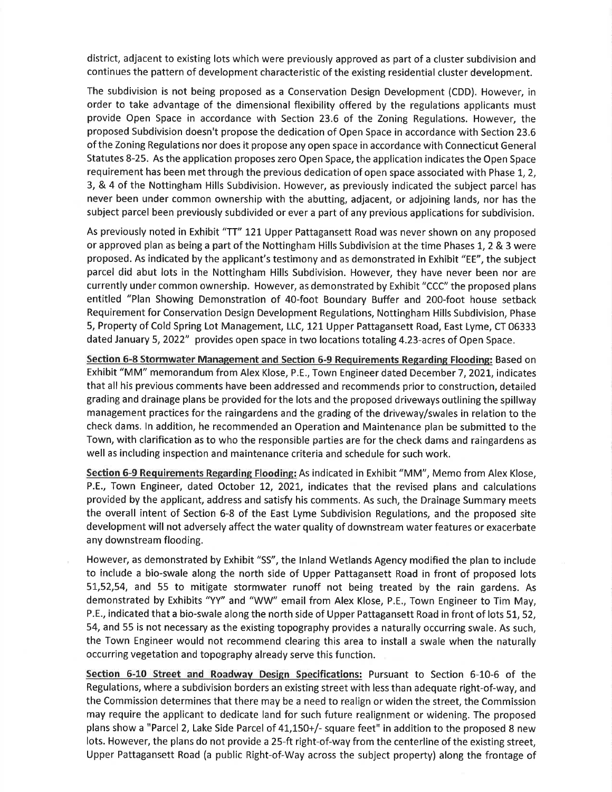district, adjacent to existing lots which were previously approved as part of a cluster subdivision and continues the pattern of development characteristic of the existing residential cluster development.

The subdivision is not being proposed as a Conservation Design Development (CDD). However, in order to take advantage of the dimensional flexibility offered by the regulations applicants must provide Open Space in accordance with Section 23.6 of the Zoning Regulations. However, the proposed Subdivision doesn't propose the dedication of Open Space in accordance with Section 23.6 of the Zoning Regulations nor does it propose any open space in accordance with Connecticut General Statutes 8-25. As the application proposes zero Open Space, the application indicates the Open Space requirement has been met through the previous dedication of open space associated with Phase L, 2, 3, & 4 of the Nottingham Hills Subdivision. However, as previously indicated the subject parcel has never been under common ownership with the abutting, adjacent, or adjoining lands, nor has the subject parcel been previously subdivided or ever a part of any previous applications for subdivision.

As previously noted in Exhibit "TT" 121 Upper Pattagansett Road was never shown on any proposed or approved plan as being a part of the Nottingham Hills Subdivision at the time Phases 1, 2 & 3 were proposed. As indicated by the applicant's testimony and as demonstrated in Exhibit "EE", the subject parcel did abut lots in the Nottingham Hills Subdivision. However, they have never been nor are currently under common ownership. However, as demonstrated by Exhibit "CCC" the proposed plans entitled "Plan Showing Demonstration of 40-foot Boundary Buffer and 200-foot house setback Requirement for Conservation Design Development Regulations, Nottingham Hills Subdivision, Phase 5, Property of Cold Spring Lot Management, LLC, L21 Upper Pattagansett Road, East Lyme, CT 06333 dated January 5,2022" provides open space in two locations totaling 4.23-acres of Open Space.

Section 6-8 Stormwater Management and Section 5-9 Requirements Regarding Flooding: Based on Exhibit "MM" memorandum from Alex Klose, P.E., Town Engineer dated December 7 ,2O2L, indicates that all his previous comments have been addressed and recommends prior to construction, detailed grading and drainage plans be provided for the lots and the proposed driveways outlining the spillway management practices for the raingardens and the grading of the driveway/swales in relation to the check dams. ln addition, he recommended an Operation and Maintenance plan be submitted to the Town, with clarification as to who the responsible parties are for the check dams and raingardens as well as including inspection and maintenance criteria and schedule for such work.

Section 6-9 Requirements Regarding Flooding: As indicated in Exhibit "MM", Memo from Alex Klose, P.E., Town Engineer, dated October 12, 2021, indicates that the revised plans and calculations provided by the applicant, address and satisfy his comments. As such, the Drainage Summary meets the overall intent of Section 6-8 of the East Lyme Subdivision Regulations, and the proposed site development will not adversely affect the water quality of downstream water features or exacerbate <sup>a</sup>ny downstream flooding.

However, as demonstrated by Exhibit "SS", the lnland Wetlands Agency modified the plan to include to include a bio-swale along the north side of Upper Pattagansett Road in front of proposed lots 51,52,54, and 55 to mitigate stormwater runoff not being treated by the rain gardens. As demonstrated by Exhibits "YY" and "WW" email from Alex Klose, P.E., Town Engineer to Tim May, P.E., indicated that a bio-swale along the north side of Upper Pattagansett Road in front of lots 51, 52, 54, and 55 is not necessary as the existing topography provides a naturally occurring swale. As such, the Town Engineer would not recommend clearing this area to install a swale when the naturally occurring vegetation and topography already serve this function.

Section 5-10 Street and Roadwav Design Specifications: Pursuant to Section 6-10-6 of the Regulations, where a subdivision borders an existing street with less than adequate right-of-way, and the Commission determines that there may be a need to realign or widen the street, the Commission may require the applicant to dedicate land for such future realignment or widening. The proposed plans show a "Parcel 2, Lake Side Parcel of 4L,L50+/- square feet" in addition to the proposed 8 new lots. However, the plans do not provide a 25-ft right-of-way from the centerline of the existing street, Upper Pattagansett Road (a public Right-of-Way across the subject property) along the frontage of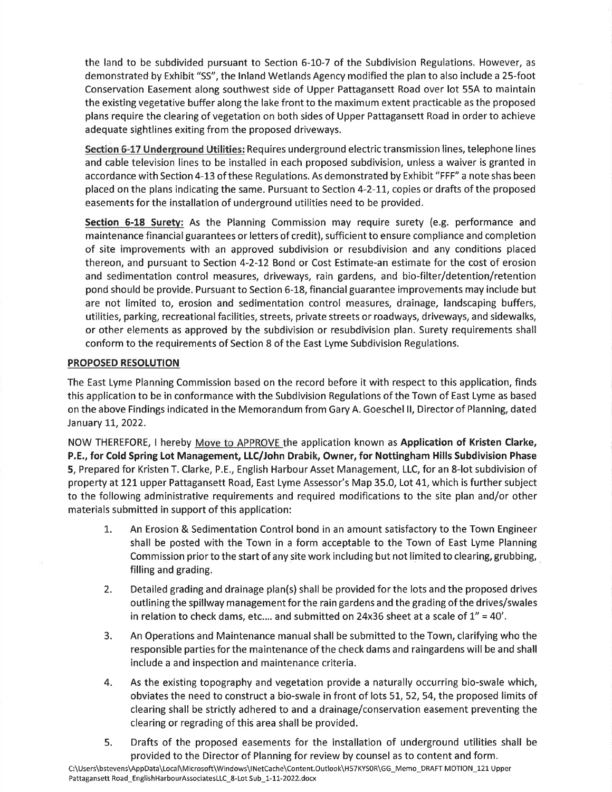the land to be subdivided pursuant to Section 6-10-7 of the Subdivision Regulations. However, as demonstrated by Exhibit "SS", the lnland Wetlands Agency modified the plan to also include a 25-foot Conservation Easement along southwest side of Upper Pattagansett Road over lot 55A to maintain the existing vegetative buffer along the lake front to the maximum extent practicable as the proposed plans require the clearing of vegetation on both sides of Upper Pattagansett Road in order to achieve adequate sightlines exiting from the proposed driveways.

Section 6-17 Underground Utilities: Requires underground electric transmission lines, telephone lines and cable television lines to be installed in each proposed subdivision, unless a waiver is granted in accordance with Section 4-13 of these Regulations. As demonstrated by Exhibit "FFF' a note shas been placed on the plans indicating the same. Pursuant to Section 4-2-11, copies or drafts of the proposed easements for the installation of underground utilities need to be provided.

Section 6-18 Surety: As the Planning Commission may require surety (e.g. performance and maintenance financial guarantees or letters of credit), sufficient to ensure compliance and completion of site improvements with an approved subdivision or resubdivision and any conditions placed thereon, and pursuant to Section 4-2-12 Bond or Cost Estimate-an estimate for the cost of erosion and sedimentation control measures, driveways, rain gardens, and bio-filter/detention/retention pond should be provide. Pursuant to Section 6-18, financial guarantee improvements may include but are not limited to, erosion and sedimentation control measures, drainage, landscaping buffers, utilities, parking, recreational facilities, streets, private streets or roadways, driveways, and sidewalks, or other elements as approved by the subdivision or resubdivision plan. Surety requirements shall conform to the requirements of Section 8 of the East Lyme Subdivision Regulations.

#### PROPOSED RESOLUTION

The East Lyme Planning Commission based on the record before it with respect to this application, finds this application to be in conformance with the Subdivision Regulations of the Town of East Lyme as based on the above Findings indicated in the Memorandum from Gary A. Goeschel ll, Director of Planning, dated January 11, 2022.

NOW THEREFORE, I hereby Move to APPROVE the application known as Application of Kristen Clarke, P.E., for Cold Spring Lot Management, LLC/John Drabik, Owner, for Nottingham Hills Subdivision Phase 5, Prepared for Kristen T. Clarke, P.E., English Harbour Asset Management, LLC, for an 8-lot subdivision of property at 121 upper Pattagansett Road, East Lyme Assessor's Map 35.0, Lot 41, which is further subject to the following administrative requirements and required modifications to the site plan and/or other materials submitted in support of this application:

- 1. An Erosion & Sedimentation Control bond in an amount satisfactory to the Town Engineer shall be posted with the Town in a form acceptable to the Town of East Lyme Planning Commission prior to the start of any site work including but not limited to clearing, grubbing, filling and grading.
- 2. Detailed grading and drainage plan(s) shall be provided for the lots and the proposed drives outlining the spillway management for the rain gardens and the grading of the drives/swales in relation to check dams, etc.... and submitted on 24x36 sheet at a scale of 1" = 40'.
- 3. An Operations and Maintenance manual shall be submitted to the Town, clarifying who the responsible parties for the maintenance of the check dams and raingardens will be and shall include a and inspection and maintenance criteria.
- 4. As the existing topography and vegetation provide a naturally occurring bio-swale which, obviates the need to construct a bio-swale in front of lots 5L,52,54, the proposed limits of clearing shall be strictly adhered to and a drainage/conservation easement preventing the clearing or regrading of this area shall be provided.
- 5. Drafts of the proposed easements for the installation of underground utilities shall be provided to the Director of Planning for review by counsel as to content and form.